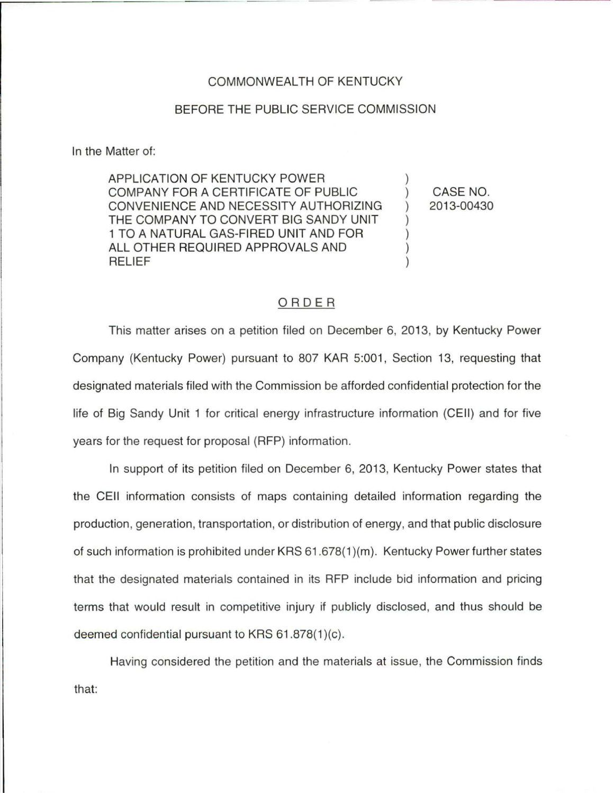## COMMONWEAL TH OF KENTUCKY

## BEFORE THE PUBLIC SERVICE COMMISSION

In the Matter of:

APPLICATION OF KENTUCKY POWER COMPANY FOR A CERTIFICATE OF PUBLIC CONVENIENCE AND NECESSITY AUTHORIZING THE COMPANY TO CONVERT BIG SANDY UNIT 1 TO A NATURAL GAS-FIRED UNIT AND FOR ALL OTHER REQUIRED APPROVALS AND RELIEF

) CASE NO. 2013-00430

)

) ) ) )

## ORDER

This matter arises on a petition filed on December 6, 2013, by Kentucky Power Company (Kentucky Power) pursuant to 807 KAR 5:001 , Section 13, requesting that designated materials filed with the Commission be afforded confidential protection for the life of Big Sandy Unit 1 for critical energy infrastructure information (CEII) and for five years for the request for proposal (RFP) information.

In support of its petition filed on December 6, 2013, Kentucky Power states that the CEII information consists of maps containing detailed information regarding the production, generation, transportation, or distribution of energy, and that public disclosure of such information is prohibited under KRS 61 .678(1 )(m). Kentucky Power further states that the designated materials contained in its RFP include bid information and pricing terms that would result in competitive injury if publicly disclosed, and thus should be deemed confidential pursuant to KRS  $61.878(1)(c)$ .

Having considered the petition and the materials at issue, the Commission finds that: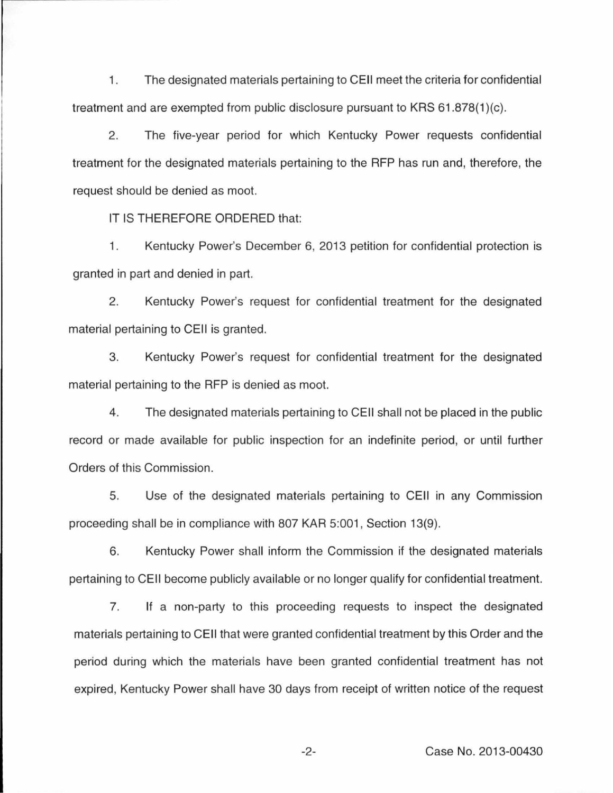1. The designated materials pertaining to CEii meet the criteria for confidential treatment and are exempted from public disclosure pursuant to KRS 61.878(1)(c).

2. The five-year period for which Kentucky Power requests confidential treatment for the designated materials pertaining to the RFP has run and, therefore, the request should be denied as moot.

IT IS THEREFORE ORDERED that:

1. Kentucky Power's December 6, 2013 petition for confidential protection is granted in part and denied in part.

2. Kentucky Power's request for confidential treatment for the designated material pertaining to CEII is granted.

3. Kentucky Power's request for confidential treatment for the designated material pertaining to the RFP is denied as moot.

4. The designated materials pertaining to CEII shall not be placed in the public record or made available for public inspection for an indefinite period, or until further Orders of this Commission.

5. Use of the designated materials pertaining to CEII in any Commission proceeding shall be in compliance with 807 KAR 5:001, Section 13(9).

6. Kentucky Power shall inform the Commission if the designated materials pertaining to CEII become publicly available or no longer qualify for confidential treatment.

7. If a non-party to this proceeding requests to inspect the designated materials pertaining to CEii that were granted confidential treatment by this Order and the period during which the materials have been granted confidential treatment has not expired, Kentucky Power shall have 30 days from receipt of written notice of the request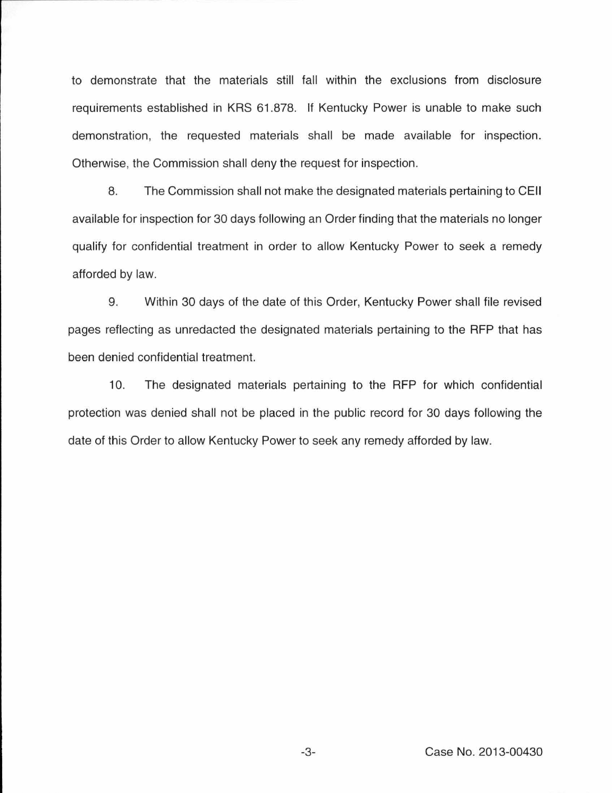to demonstrate that the materials still fall within the exclusions from disclosure requirements established in KRS 61.878. If Kentucky Power is unable to make such demonstration, the requested materials shall be made available for inspection. Otherwise, the Commission shall deny the request for inspection.

8. The Commission shall not make the designated materials pertaining to CEii available for inspection for 30 days following an Order finding that the materials no longer qualify for confidential treatment in order to allow Kentucky Power to seek a remedy afforded by law.

9. Within 30 days of the date of this Order, Kentucky Power shall file revised pages reflecting as unredacted the designated materials pertaining to the RFP that has been denied confidential treatment.

10. The designated materials pertaining to the RFP for which confidential protection was denied shall not be placed in the public record for 30 days following the date of this Order to allow Kentucky Power to seek any remedy afforded by law.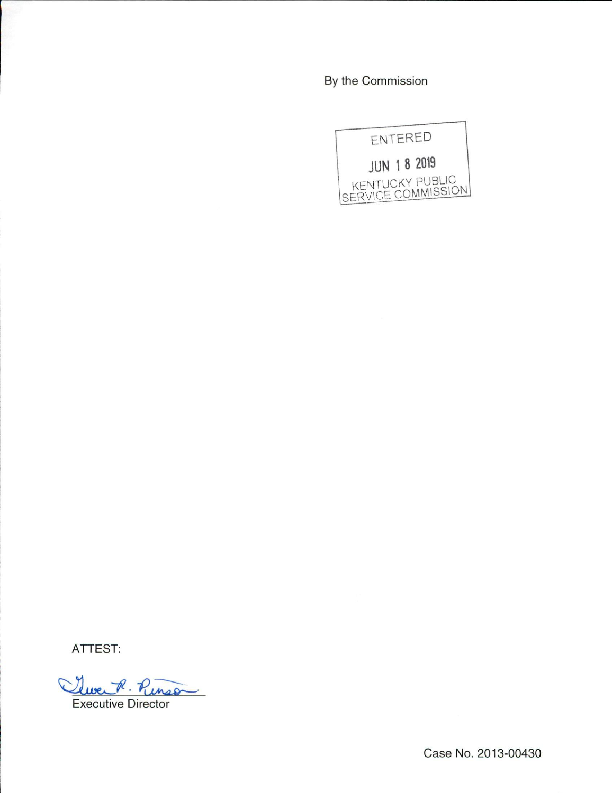By the Commission



ATTEST:

Clue R. Ringo

Executive Director